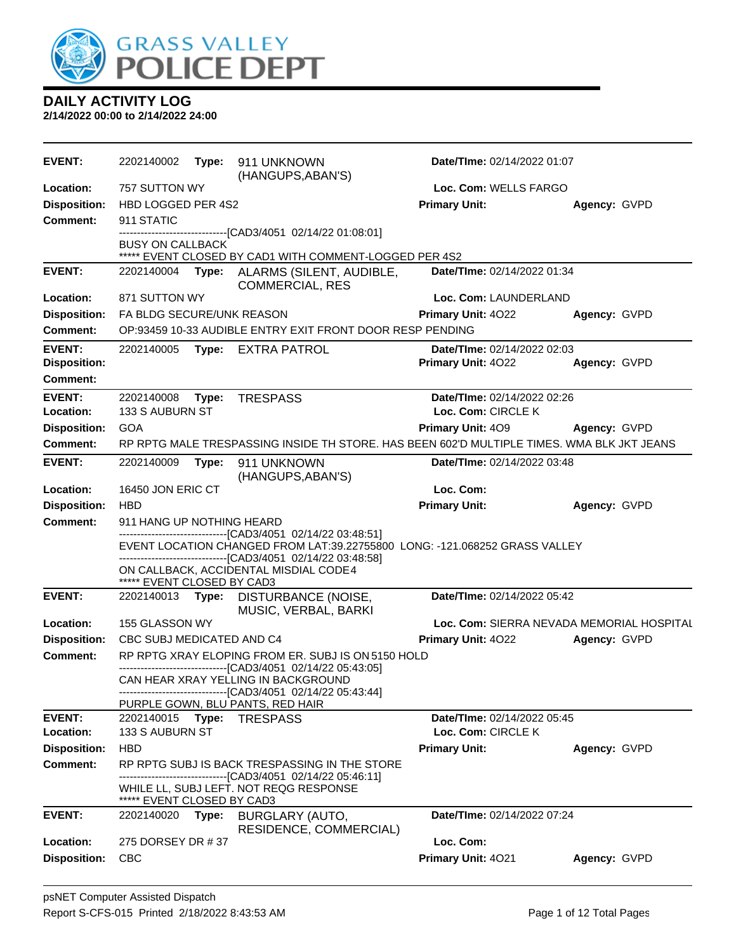

**DAILY ACTIVITY LOG 2/14/2022 00:00 to 2/14/2022 24:00**

**EVENT:** 2202140002 **Type:** 911 UNKNOWN (HANGUPS,ABAN'S) **Date/TIme:** 02/14/2022 01:07 **Location:** 757 SUTTON WY **Loc. Com:** WELLS FARGO **Disposition:** HBD LOGGED PER 4S2 **Primary Unit: Agency:** GVPD **Comment:** 911 STATIC ----[CAD3/4051 02/14/22 01:08:01] BUSY ON CALLBACK \*\*\*\*\* EVENT CLOSED BY CAD1 WITH COMMENT-LOGGED PER 4S2 **EVENT:** 2202140004 **Type:** ALARMS (SILENT, AUDIBLE, COMMERCIAL, RES **Date/TIme:** 02/14/2022 01:34 **Location:** 871 SUTTON WY **Loc. Com:** LAUNDERLAND **Disposition:** FA BLDG SECURE/UNK REASON **Primary Unit:** 4O22 **Agency:** GVPD **Comment:** OP:93459 10-33 AUDIBLE ENTRY EXIT FRONT DOOR RESP PENDING **EVENT:** 2202140005 **Type:** EXTRA PATROL **Date/TIme:** 02/14/2022 02:03 **Disposition: Primary Unit:** 4O22 **Agency:** GVPD **Comment: EVENT:** 2202140008 **Type:** TRESPASS **Date/TIme:** 02/14/2022 02:26 **Location:** 133 S AUBURN ST **Loc. Com:** CIRCLE K **Disposition:** GOA **Primary Unit:** 4O9 **Agency:** GVPD **Comment:** RP RPTG MALE TRESPASSING INSIDE TH STORE. HAS BEEN 602'D MULTIPLE TIMES. WMA BLK JKT JEANS **EVENT:** 2202140009 **Type:** 911 UNKNOWN (HANGUPS,ABAN'S) **Date/TIme:** 02/14/2022 03:48 **Location:** 16450 JON ERIC CT **Loc. Com: Disposition:** HBD **Primary Unit: Agency:** GVPD **Comment:** 911 HANG UP NOTHING HEARD ------------------------------[CAD3/4051 02/14/22 03:48:51] EVENT LOCATION CHANGED FROM LAT: 39.22755800 LONG: -121.068252 GRASS VALLEY ------------------------------[CAD3/4051 02/14/22 03:48:58] ON CALLBACK, ACCIDENTAL MISDIAL CODE 4 \* EVENT CLOSED BY CAD3 **EVENT:** 2202140013 **Type:** DISTURBANCE (NOISE, MUSIC, VERBAL, BARKI **Date/TIme:** 02/14/2022 05:42 **Location:** 155 GLASSON WY **Loc. Com:** SIERRA NEVADA MEMORIAL HOSPITAL **Disposition:** CBC SUBJ MEDICATED AND C4 **Primary Unit:** 4O22 **Agency:** GVPD **Comment:** RP RPTG XRAY ELOPING FROM ER. SUBJ IS ON 5150 HOLD ------------------------------[CAD3/4051 02/14/22 05:43:05] CAN HEAR XRAY YELLING IN BACKGROUND ------------------------------[CAD3/4051 02/14/22 05:43:44] PURPLE GOWN, BLU PANTS, RED HAIR **EVENT:** 2202140015 **Type:** TRESPASS **Date/TIme:** 02/14/2022 05:45 **Location:** 133 S AUBURN ST **Loc. Com:** CIRCLE K **Disposition:** HBD **Primary Unit: Agency:** GVPD **Comment:** RP RPTG SUBJ IS BACK TRESPASSING IN THE STORE ------------------------------[CAD3/4051 02/14/22 05:46:11] WHILE LL, SUBJ LEFT. NOT REQG RESPONSE \*\*\*\*\* EVENT CLOSED BY CAD3 **EVENT:** 2202140020 **Type:** BURGLARY (AUTO, RESIDENCE, COMMERCIAL) **Date/TIme:** 02/14/2022 07:24 **Location:** 275 DORSEY DR # 37 **Loc. Com: Disposition:** CBC **Primary Unit:** 4O21 **Agency:** GVPD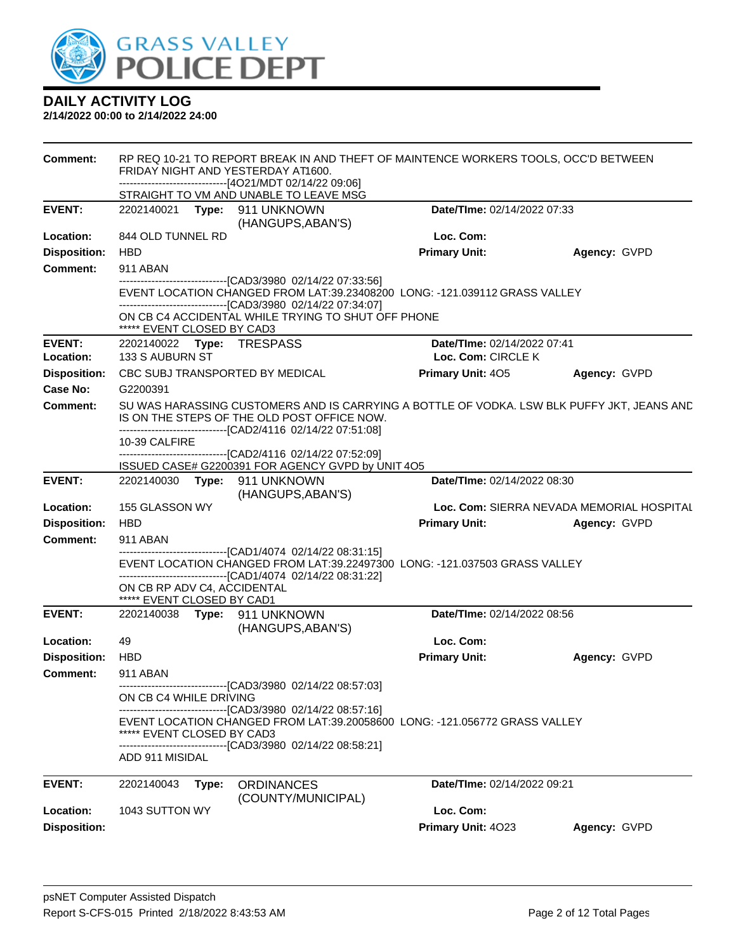

| <b>Comment:</b>     | RP REQ 10-21 TO REPORT BREAK IN AND THEFT OF MAINTENCE WORKERS TOOLS, OCC'D BETWEEN<br>FRIDAY NIGHT AND YESTERDAY AT1600.<br>-------------------------------[4O21/MDT 02/14/22 09:06]<br>STRAIGHT TO VM AND UNABLE TO LEAVE MSG |                                                                                                                                                                                                           |                             |                                           |  |  |
|---------------------|---------------------------------------------------------------------------------------------------------------------------------------------------------------------------------------------------------------------------------|-----------------------------------------------------------------------------------------------------------------------------------------------------------------------------------------------------------|-----------------------------|-------------------------------------------|--|--|
| <b>EVENT:</b>       |                                                                                                                                                                                                                                 | 2202140021 Type: 911 UNKNOWN                                                                                                                                                                              | Date/TIme: 02/14/2022 07:33 |                                           |  |  |
|                     |                                                                                                                                                                                                                                 | (HANGUPS, ABAN'S)                                                                                                                                                                                         |                             |                                           |  |  |
| Location:           | 844 OLD TUNNEL RD                                                                                                                                                                                                               |                                                                                                                                                                                                           | Loc. Com:                   |                                           |  |  |
| <b>Disposition:</b> | <b>HBD</b>                                                                                                                                                                                                                      |                                                                                                                                                                                                           | <b>Primary Unit:</b>        | Agency: GVPD                              |  |  |
| <b>Comment:</b>     | 911 ABAN                                                                                                                                                                                                                        |                                                                                                                                                                                                           |                             |                                           |  |  |
|                     |                                                                                                                                                                                                                                 | --------------------------[CAD3/3980_02/14/22 07:33:56]<br>EVENT LOCATION CHANGED FROM LAT:39.23408200 LONG: -121.039112 GRASS VALLEY                                                                     |                             |                                           |  |  |
|                     | ***** EVENT CLOSED BY CAD3                                                                                                                                                                                                      | ------------------------------[CAD3/3980 02/14/22 07:34:07]<br>ON CB C4 ACCIDENTAL WHILE TRYING TO SHUT OFF PHONE                                                                                         |                             |                                           |  |  |
| <b>EVENT:</b>       | 2202140022 Type: TRESPASS                                                                                                                                                                                                       |                                                                                                                                                                                                           | Date/TIme: 02/14/2022 07:41 |                                           |  |  |
| Location:           | 133 S AUBURN ST                                                                                                                                                                                                                 |                                                                                                                                                                                                           | Loc. Com: CIRCLE K          |                                           |  |  |
| <b>Disposition:</b> |                                                                                                                                                                                                                                 | CBC SUBJ TRANSPORTED BY MEDICAL                                                                                                                                                                           | <b>Primary Unit: 405</b>    | Agency: GVPD                              |  |  |
| Case No:            | G2200391                                                                                                                                                                                                                        |                                                                                                                                                                                                           |                             |                                           |  |  |
| Comment:            |                                                                                                                                                                                                                                 | SU WAS HARASSING CUSTOMERS AND IS CARRYING A BOTTLE OF VODKA. LSW BLK PUFFY JKT, JEANS AND<br>IS ON THE STEPS OF THE OLD POST OFFICE NOW.<br>-------------------------------[CAD2/4116 02/14/22 07:51:08] |                             |                                           |  |  |
|                     | 10-39 CALFIRE                                                                                                                                                                                                                   |                                                                                                                                                                                                           |                             |                                           |  |  |
|                     |                                                                                                                                                                                                                                 | -------------------------------[CAD2/4116 02/14/22 07:52:09]<br>ISSUED CASE# G2200391 FOR AGENCY GVPD by UNIT 4O5                                                                                         |                             |                                           |  |  |
| <b>EVENT:</b>       |                                                                                                                                                                                                                                 | 2202140030 Type: 911 UNKNOWN<br>(HANGUPS, ABAN'S)                                                                                                                                                         | Date/TIme: 02/14/2022 08:30 |                                           |  |  |
| Location:           | 155 GLASSON WY                                                                                                                                                                                                                  |                                                                                                                                                                                                           |                             | Loc. Com: SIERRA NEVADA MEMORIAL HOSPITAL |  |  |
| <b>Disposition:</b> | <b>HBD</b>                                                                                                                                                                                                                      |                                                                                                                                                                                                           | <b>Primary Unit:</b>        | Agency: GVPD                              |  |  |
| <b>Comment:</b>     | 911 ABAN                                                                                                                                                                                                                        |                                                                                                                                                                                                           |                             |                                           |  |  |
|                     |                                                                                                                                                                                                                                 | ------------------------------[CAD1/4074_02/14/22_08:31:15]<br>EVENT LOCATION CHANGED FROM LAT:39.22497300 LONG: -121.037503 GRASS VALLEY<br>-------------------------------[CAD1/4074 02/14/22 08:31:22] |                             |                                           |  |  |
|                     | ON CB RP ADV C4, ACCIDENTAL<br>***** EVENT CLOSED BY CAD1                                                                                                                                                                       |                                                                                                                                                                                                           |                             |                                           |  |  |
| <b>EVENT:</b>       |                                                                                                                                                                                                                                 | 2202140038 Type: 911 UNKNOWN<br>(HANGUPS, ABAN'S)                                                                                                                                                         | Date/TIme: 02/14/2022 08:56 |                                           |  |  |
| Location:           | 49                                                                                                                                                                                                                              |                                                                                                                                                                                                           | Loc. Com:                   |                                           |  |  |
| <b>Disposition:</b> | <b>HBD</b>                                                                                                                                                                                                                      |                                                                                                                                                                                                           | <b>Primary Unit:</b>        | Agency: GVPD                              |  |  |
| Comment:            | 911 ABAN                                                                                                                                                                                                                        |                                                                                                                                                                                                           |                             |                                           |  |  |
|                     | ON CB C4 WHILE DRIVING                                                                                                                                                                                                          | -----------------[CAD3/3980 02/14/22 08:57:03]                                                                                                                                                            |                             |                                           |  |  |
|                     | ***** EVENT CLOSED BY CAD3                                                                                                                                                                                                      | -----------------------------[CAD3/3980_02/14/22 08:57:16]<br>EVENT LOCATION CHANGED FROM LAT:39.20058600 LONG: -121.056772 GRASS VALLEY                                                                  |                             |                                           |  |  |
|                     | ADD 911 MISIDAL                                                                                                                                                                                                                 | -------------------------------[CAD3/3980 02/14/22 08:58:21]                                                                                                                                              |                             |                                           |  |  |
| <b>EVENT:</b>       | 2202140043<br>Type:                                                                                                                                                                                                             | <b>ORDINANCES</b><br>(COUNTY/MUNICIPAL)                                                                                                                                                                   | Date/TIme: 02/14/2022 09:21 |                                           |  |  |
| Location:           | 1043 SUTTON WY                                                                                                                                                                                                                  |                                                                                                                                                                                                           | Loc. Com:                   |                                           |  |  |
| <b>Disposition:</b> |                                                                                                                                                                                                                                 |                                                                                                                                                                                                           | Primary Unit: 4023          | Agency: GVPD                              |  |  |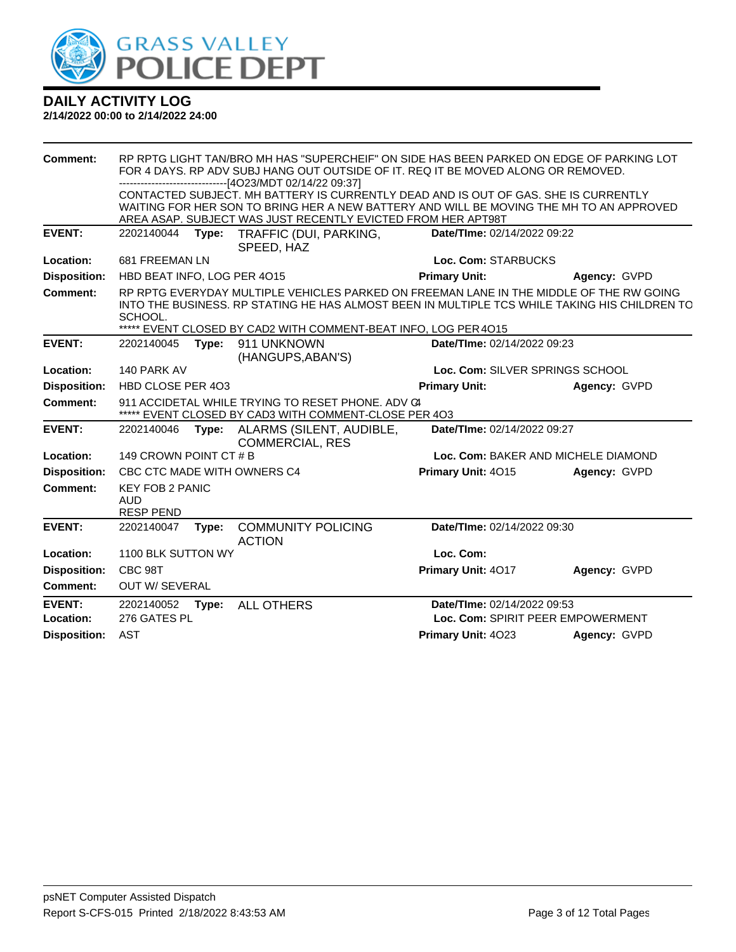

| <b>Comment:</b>            | RP RPTG LIGHT TAN/BRO MH HAS "SUPERCHEIF" ON SIDE HAS BEEN PARKED ON EDGE OF PARKING LOT<br>FOR 4 DAYS. RP ADV SUBJ HANG OUT OUTSIDE OF IT. REQ IT BE MOVED ALONG OR REMOVED.<br>------------------------[4O23/MDT 02/14/22 09:37] |       |                                                                                                                                                                                                                                                             |                                 |                                     |  |
|----------------------------|------------------------------------------------------------------------------------------------------------------------------------------------------------------------------------------------------------------------------------|-------|-------------------------------------------------------------------------------------------------------------------------------------------------------------------------------------------------------------------------------------------------------------|---------------------------------|-------------------------------------|--|
|                            |                                                                                                                                                                                                                                    |       | CONTACTED SUBJECT. MH BATTERY IS CURRENTLY DEAD AND IS OUT OF GAS. SHE IS CURRENTLY<br>WAITING FOR HER SON TO BRING HER A NEW BATTERY AND WILL BE MOVING THE MH TO AN APPROVED<br>AREA ASAP. SUBJECT WAS JUST RECENTLY EVICTED FROM HER APT98T              |                                 |                                     |  |
| <b>EVENT:</b>              | 2202140044                                                                                                                                                                                                                         | Type: | TRAFFIC (DUI, PARKING,<br>SPEED, HAZ                                                                                                                                                                                                                        | Date/TIme: 02/14/2022 09:22     |                                     |  |
| Location:                  | 681 FREEMAN LN                                                                                                                                                                                                                     |       |                                                                                                                                                                                                                                                             | Loc. Com: STARBUCKS             |                                     |  |
| <b>Disposition:</b>        | HBD BEAT INFO, LOG PER 4015                                                                                                                                                                                                        |       |                                                                                                                                                                                                                                                             | <b>Primary Unit:</b>            | Agency: GVPD                        |  |
| Comment:                   | SCHOOL.                                                                                                                                                                                                                            |       | RP RPTG EVERYDAY MULTIPLE VEHICLES PARKED ON FREEMAN LANE IN THE MIDDLE OF THE RW GOING<br>INTO THE BUSINESS. RP STATING HE HAS ALMOST BEEN IN MULTIPLE TCS WHILE TAKING HIS CHILDREN TO<br>***** EVENT CLOSED BY CAD2 WITH COMMENT-BEAT INFO, LOG PER 4015 |                                 |                                     |  |
| <b>EVENT:</b>              | 2202140045                                                                                                                                                                                                                         | Type: | 911 UNKNOWN<br>(HANGUPS, ABAN'S)                                                                                                                                                                                                                            | Date/TIme: 02/14/2022 09:23     |                                     |  |
| Location:                  | 140 PARK AV                                                                                                                                                                                                                        |       |                                                                                                                                                                                                                                                             | Loc. Com: SILVER SPRINGS SCHOOL |                                     |  |
| <b>Disposition:</b>        | HBD CLOSE PER 403                                                                                                                                                                                                                  |       |                                                                                                                                                                                                                                                             | <b>Primary Unit:</b>            | Agency: GVPD                        |  |
| Comment:                   |                                                                                                                                                                                                                                    |       | 911 ACCIDETAL WHILE TRYING TO RESET PHONE, ADV C4<br>***** EVENT CLOSED BY CAD3 WITH COMMENT-CLOSE PER 4O3                                                                                                                                                  |                                 |                                     |  |
| <b>EVENT:</b>              | 2202140046                                                                                                                                                                                                                         | Type: | ALARMS (SILENT, AUDIBLE,<br><b>COMMERCIAL, RES</b>                                                                                                                                                                                                          | Date/TIme: 02/14/2022 09:27     |                                     |  |
| Location:                  | 149 CROWN POINT CT # B                                                                                                                                                                                                             |       |                                                                                                                                                                                                                                                             |                                 | Loc. Com: BAKER AND MICHELE DIAMOND |  |
| <b>Disposition:</b>        |                                                                                                                                                                                                                                    |       | CBC CTC MADE WITH OWNERS C4                                                                                                                                                                                                                                 | Primary Unit: 4015              | Agency: GVPD                        |  |
| <b>Comment:</b>            | <b>KEY FOB 2 PANIC</b><br><b>AUD</b><br><b>RESP PEND</b>                                                                                                                                                                           |       |                                                                                                                                                                                                                                                             |                                 |                                     |  |
| <b>EVENT:</b>              | 2202140047                                                                                                                                                                                                                         | Type: | <b>COMMUNITY POLICING</b><br><b>ACTION</b>                                                                                                                                                                                                                  | Date/TIme: 02/14/2022 09:30     |                                     |  |
| Location:                  | 1100 BLK SUTTON WY                                                                                                                                                                                                                 |       |                                                                                                                                                                                                                                                             | Loc. Com:                       |                                     |  |
| <b>Disposition:</b>        | CBC 98T                                                                                                                                                                                                                            |       |                                                                                                                                                                                                                                                             | Primary Unit: 4017              | Agency: GVPD                        |  |
| <b>Comment:</b>            | OUT W/ SEVERAL                                                                                                                                                                                                                     |       |                                                                                                                                                                                                                                                             |                                 |                                     |  |
| <b>EVENT:</b><br>Location: | 2202140052<br>276 GATES PL                                                                                                                                                                                                         | Type: | <b>ALL OTHERS</b>                                                                                                                                                                                                                                           | Date/TIme: 02/14/2022 09:53     | Loc. Com: SPIRIT PEER EMPOWERMENT   |  |
| <b>Disposition:</b>        | <b>AST</b>                                                                                                                                                                                                                         |       |                                                                                                                                                                                                                                                             | Primary Unit: 4023              | Agency: GVPD                        |  |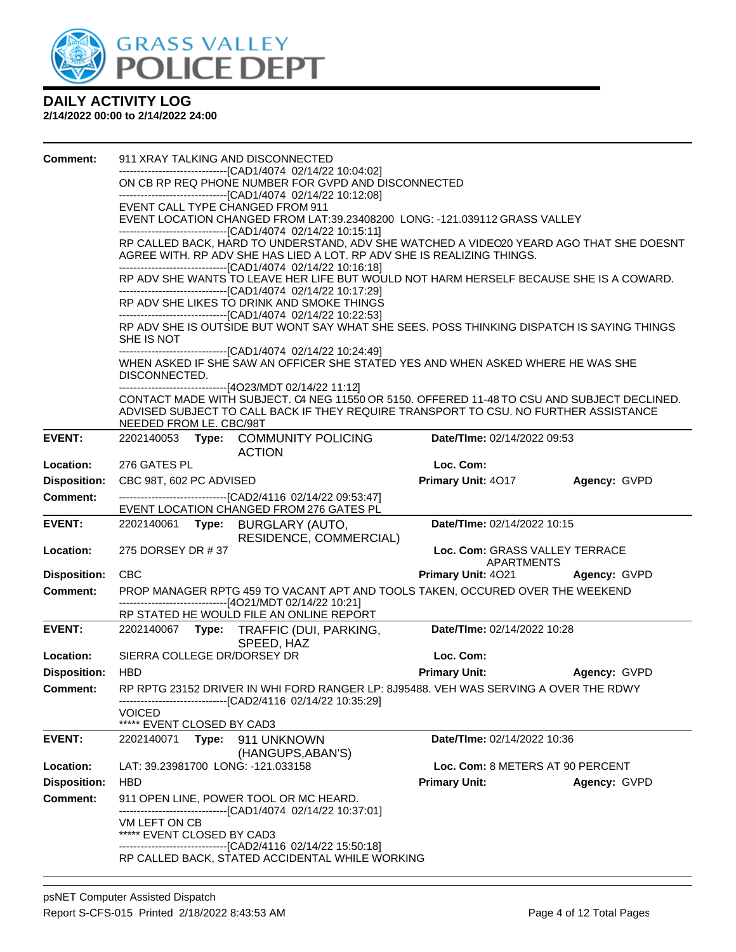

| <b>Comment:</b>     |                                                                                                  |       | 911 XRAY TALKING AND DISCONNECTED                                                                                                                                 |                                  |              |  |
|---------------------|--------------------------------------------------------------------------------------------------|-------|-------------------------------------------------------------------------------------------------------------------------------------------------------------------|----------------------------------|--------------|--|
|                     |                                                                                                  |       | -------------------------[CAD1/4074_02/14/22 10:04:02]                                                                                                            |                                  |              |  |
|                     |                                                                                                  |       | ON CB RP REQ PHONE NUMBER FOR GVPD AND DISCONNECTED<br>-------------------------------[CAD1/4074 02/14/22 10:12:08]                                               |                                  |              |  |
|                     |                                                                                                  |       | EVENT CALL TYPE CHANGED FROM 911                                                                                                                                  |                                  |              |  |
|                     |                                                                                                  |       | EVENT LOCATION CHANGED FROM LAT:39.23408200 LONG: -121.039112 GRASS VALLEY                                                                                        |                                  |              |  |
|                     |                                                                                                  |       | -------------------------------[CAD1/4074 02/14/22 10:15:11]                                                                                                      |                                  |              |  |
|                     |                                                                                                  |       | RP CALLED BACK, HARD TO UNDERSTAND, ADV SHE WATCHED A VIDEO20 YEARD AGO THAT SHE DOESNT<br>AGREE WITH. RP ADV SHE HAS LIED A LOT. RP ADV SHE IS REALIZING THINGS. |                                  |              |  |
|                     |                                                                                                  |       | -------------------------------[CAD1/4074 02/14/22 10:16:18]                                                                                                      |                                  |              |  |
|                     |                                                                                                  |       | RP ADV SHE WANTS TO LEAVE HER LIFE BUT WOULD NOT HARM HERSELF BECAUSE SHE IS A COWARD.                                                                            |                                  |              |  |
|                     |                                                                                                  |       | -------------------------------[CAD1/4074 02/14/22 10:17:29]                                                                                                      |                                  |              |  |
|                     |                                                                                                  |       | RP ADV SHE LIKES TO DRINK AND SMOKE THINGS<br>-------------------------------[CAD1/4074 02/14/22 10:22:53]                                                        |                                  |              |  |
|                     |                                                                                                  |       | RP ADV SHE IS OUTSIDE BUT WONT SAY WHAT SHE SEES. POSS THINKING DISPATCH IS SAYING THINGS                                                                         |                                  |              |  |
|                     | SHE IS NOT                                                                                       |       |                                                                                                                                                                   |                                  |              |  |
|                     | -------------------------------[CAD1/4074 02/14/22 10:24:49]                                     |       |                                                                                                                                                                   |                                  |              |  |
|                     | WHEN ASKED IF SHE SAW AN OFFICER SHE STATED YES AND WHEN ASKED WHERE HE WAS SHE<br>DISCONNECTED. |       |                                                                                                                                                                   |                                  |              |  |
|                     |                                                                                                  |       | ------------------------------[4O23/MDT 02/14/22 11:12]<br>CONTACT MADE WITH SUBJECT. C4 NEG 11550 OR 5150. OFFERED 11-48 TO CSU AND SUBJECT DECLINED.            |                                  |              |  |
|                     |                                                                                                  |       | ADVISED SUBJECT TO CALL BACK IF THEY REQUIRE TRANSPORT TO CSU. NO FURTHER ASSISTANCE                                                                              |                                  |              |  |
|                     | NEEDED FROM LE. CBC/98T                                                                          |       |                                                                                                                                                                   |                                  |              |  |
| <b>EVENT:</b>       |                                                                                                  |       | 2202140053 Type: COMMUNITY POLICING<br><b>ACTION</b>                                                                                                              | Date/TIme: 02/14/2022 09:53      |              |  |
| Location:           | 276 GATES PL                                                                                     |       |                                                                                                                                                                   | Loc. Com:                        |              |  |
| <b>Disposition:</b> | CBC 98T, 602 PC ADVISED                                                                          |       |                                                                                                                                                                   | <b>Primary Unit: 4017</b>        | Agency: GVPD |  |
| <b>Comment:</b>     |                                                                                                  |       | -------------------------------[CAD2/4116 02/14/22 09:53:47]                                                                                                      |                                  |              |  |
|                     |                                                                                                  |       |                                                                                                                                                                   |                                  |              |  |
|                     |                                                                                                  |       | EVENT LOCATION CHANGED FROM 276 GATES PL                                                                                                                          |                                  |              |  |
| <b>EVENT:</b>       |                                                                                                  |       | 2202140061 Type: BURGLARY (AUTO,<br>RESIDENCE, COMMERCIAL)                                                                                                        | Date/TIme: 02/14/2022 10:15      |              |  |
| Location:           | 275 DORSEY DR #37                                                                                |       |                                                                                                                                                                   | Loc. Com: GRASS VALLEY TERRACE   |              |  |
|                     |                                                                                                  |       |                                                                                                                                                                   | APARTMENTS                       |              |  |
| <b>Disposition:</b> | <b>CBC</b>                                                                                       |       |                                                                                                                                                                   | Primary Unit: 4021               | Agency: GVPD |  |
| <b>Comment:</b>     |                                                                                                  |       | PROP MANAGER RPTG 459 TO VACANT APT AND TOOLS TAKEN, OCCURED OVER THE WEEKEND                                                                                     |                                  |              |  |
|                     |                                                                                                  |       | -------------------------------[4O21/MDT 02/14/22 10:21]<br>RP STATED HE WOULD FILE AN ONLINE REPORT                                                              |                                  |              |  |
| <b>EVENT:</b>       |                                                                                                  |       | 2202140067 Type: TRAFFIC (DUI, PARKING,                                                                                                                           | Date/TIme: 02/14/2022 10:28      |              |  |
|                     |                                                                                                  |       | SPEED, HAZ                                                                                                                                                        |                                  |              |  |
| Location:           | SIERRA COLLEGE DR/DORSEY DR                                                                      |       |                                                                                                                                                                   | Loc. Com:                        |              |  |
| <b>Disposition:</b> | HBD                                                                                              |       |                                                                                                                                                                   | <b>Primary Unit:</b>             | Agency: GVPD |  |
| Comment:            |                                                                                                  |       | RP RPTG 23152 DRIVER IN WHI FORD RANGER LP: 8J95488. VEH WAS SERVING A OVER THE RDWY<br>------------------------------[CAD2/4116 02/14/22 10:35:29]               |                                  |              |  |
|                     | <b>VOICED</b>                                                                                    |       |                                                                                                                                                                   |                                  |              |  |
|                     | ***** EVENT CLOSED BY CAD3                                                                       |       |                                                                                                                                                                   |                                  |              |  |
| <b>EVENT:</b>       | 2202140071                                                                                       | Type: | 911 UNKNOWN                                                                                                                                                       | Date/TIme: 02/14/2022 10:36      |              |  |
|                     |                                                                                                  |       | (HANGUPS, ABAN'S)                                                                                                                                                 |                                  |              |  |
| Location:           |                                                                                                  |       | LAT: 39.23981700 LONG: -121.033158                                                                                                                                | Loc. Com: 8 METERS AT 90 PERCENT |              |  |
| <b>Disposition:</b> | <b>HBD</b>                                                                                       |       |                                                                                                                                                                   | <b>Primary Unit:</b>             | Agency: GVPD |  |
| <b>Comment:</b>     |                                                                                                  |       | 911 OPEN LINE, POWER TOOL OR MC HEARD.<br>-------------------------------[CAD1/4074_02/14/22 10:37:01]                                                            |                                  |              |  |
|                     | VM LEFT ON CB                                                                                    |       |                                                                                                                                                                   |                                  |              |  |
|                     | ***** EVENT CLOSED BY CAD3                                                                       |       |                                                                                                                                                                   |                                  |              |  |
|                     |                                                                                                  |       | --------------------------------[CAD2/4116 02/14/22 15:50:18]<br>RP CALLED BACK, STATED ACCIDENTAL WHILE WORKING                                                  |                                  |              |  |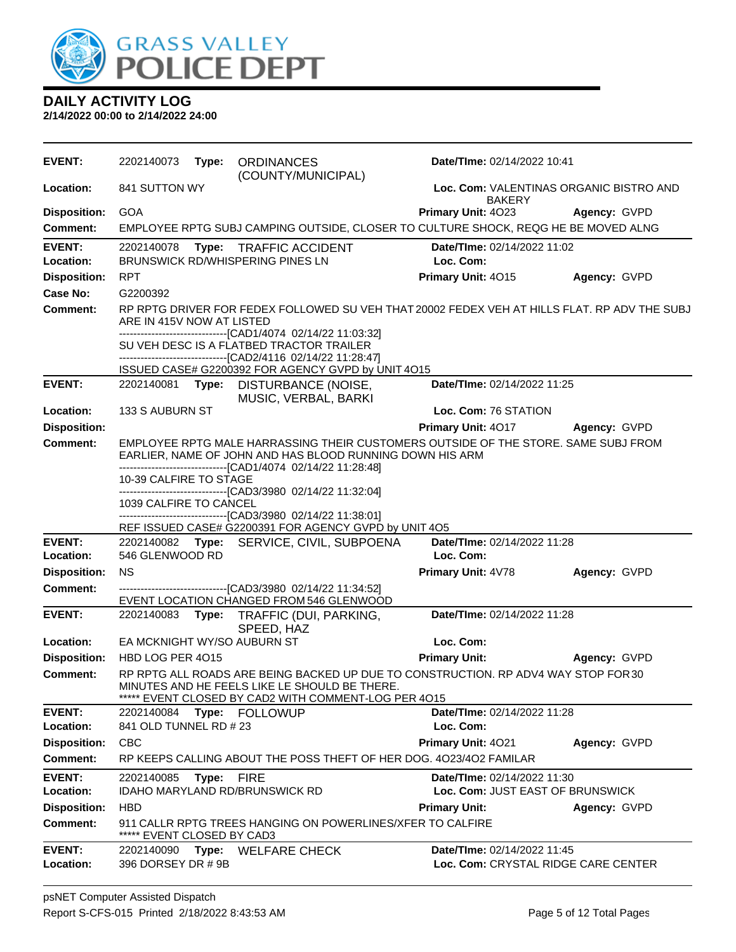

| <b>EVENT:</b>              | 2202140073                       | Type: | <b>ORDINANCES</b><br>(COUNTY/MUNICIPAL)                                                                                                                                                                       | Date/TIme: 02/14/2022 10:41                                        |              |
|----------------------------|----------------------------------|-------|---------------------------------------------------------------------------------------------------------------------------------------------------------------------------------------------------------------|--------------------------------------------------------------------|--------------|
| Location:                  | 841 SUTTON WY                    |       |                                                                                                                                                                                                               | Loc. Com: VALENTINAS ORGANIC BISTRO AND<br>BAKERY                  |              |
| <b>Disposition:</b>        | <b>GOA</b>                       |       |                                                                                                                                                                                                               | Primary Unit: 4023                                                 | Agency: GVPD |
| Comment:                   |                                  |       | EMPLOYEE RPTG SUBJ CAMPING OUTSIDE, CLOSER TO CULTURE SHOCK, REQG HE BE MOVED ALNG                                                                                                                            |                                                                    |              |
| <b>EVENT:</b><br>Location: | 2202140078                       |       | Type: TRAFFIC ACCIDENT<br>BRUNSWICK RD/WHISPERING PINES LN                                                                                                                                                    | Date/TIme: 02/14/2022 11:02<br>Loc. Com:                           |              |
| <b>Disposition:</b>        | <b>RPT</b>                       |       |                                                                                                                                                                                                               | Primary Unit: 4015                                                 | Agency: GVPD |
| Case No:                   | G2200392                         |       |                                                                                                                                                                                                               |                                                                    |              |
| <b>Comment:</b>            | ARE IN 415V NOW AT LISTED        |       | RP RPTG DRIVER FOR FEDEX FOLLOWED SU VEH THAT 20002 FEDEX VEH AT HILLS FLAT. RP ADV THE SUBJ<br>----------------------------[CAD1/4074_02/14/22 11:03:32]                                                     |                                                                    |              |
|                            |                                  |       | SU VEH DESC IS A FLATBED TRACTOR TRAILER<br>-------------------------------[CAD2/4116 02/14/22 11:28:47]                                                                                                      |                                                                    |              |
|                            |                                  |       | ISSUED CASE# G2200392 FOR AGENCY GVPD by UNIT 4O15                                                                                                                                                            |                                                                    |              |
| <b>EVENT:</b>              |                                  |       | 2202140081 Type: DISTURBANCE (NOISE,<br>MUSIC, VERBAL, BARKI                                                                                                                                                  | Date/TIme: 02/14/2022 11:25                                        |              |
| Location:                  | 133 S AUBURN ST                  |       |                                                                                                                                                                                                               | Loc. Com: 76 STATION                                               |              |
| <b>Disposition:</b>        |                                  |       |                                                                                                                                                                                                               | Primary Unit: 4017                                                 | Agency: GVPD |
| <b>Comment:</b>            | 10-39 CALFIRE TO STAGE           |       | EMPLOYEE RPTG MALE HARRASSING THEIR CUSTOMERS OUTSIDE OF THE STORE. SAME SUBJ FROM<br>EARLIER, NAME OF JOHN AND HAS BLOOD RUNNING DOWN HIS ARM<br>------------------------------[CAD1/4074_02/14/22 11:28:48] |                                                                    |              |
|                            |                                  |       | -------------------------------[CAD3/3980 02/14/22 11:32:04]                                                                                                                                                  |                                                                    |              |
|                            | 1039 CALFIRE TO CANCEL           |       | -------------------------------[CAD3/3980 02/14/22 11:38:01]                                                                                                                                                  |                                                                    |              |
|                            |                                  |       | REF ISSUED CASE# G2200391 FOR AGENCY GVPD by UNIT 4O5                                                                                                                                                         |                                                                    |              |
| <b>EVENT:</b>              |                                  |       | 2202140082 Type: SERVICE, CIVIL, SUBPOENA                                                                                                                                                                     | Date/TIme: 02/14/2022 11:28                                        |              |
| Location:                  | 546 GLENWOOD RD                  |       |                                                                                                                                                                                                               | Loc. Com:                                                          |              |
| <b>Disposition:</b>        | <b>NS</b>                        |       |                                                                                                                                                                                                               | Primary Unit: 4V78                                                 | Agency: GVPD |
| <b>Comment:</b>            |                                  |       | -------------------------------[CAD3/3980 02/14/22 11:34:52]<br>EVENT LOCATION CHANGED FROM 546 GLENWOOD                                                                                                      |                                                                    |              |
| <b>EVENT:</b>              | 2202140083                       |       | Type: TRAFFIC (DUI, PARKING,<br>SPEED, HAZ                                                                                                                                                                    | Date/TIme: 02/14/2022 11:28                                        |              |
| Location:                  | EA MCKNIGHT WY/SO AUBURN ST      |       |                                                                                                                                                                                                               | Loc. Com:                                                          |              |
| <b>Disposition:</b>        | HBD LOG PER 4015                 |       |                                                                                                                                                                                                               | <b>Primary Unit:</b>                                               | Agency: GVPD |
| Comment:                   |                                  |       | RP RPTG ALL ROADS ARE BEING BACKED UP DUE TO CONSTRUCTION. RP ADV4 WAY STOP FOR 30<br>MINUTES AND HE FEELS LIKE LE SHOULD BE THERE.<br>***** EVENT CLOSED BY CAD2 WITH COMMENT-LOG PER 4015                   |                                                                    |              |
| <b>EVENT:</b>              | 2202140084                       |       | Type: FOLLOWUP                                                                                                                                                                                                | Date/TIme: 02/14/2022 11:28                                        |              |
| Location:                  | 841 OLD TUNNEL RD # 23           |       |                                                                                                                                                                                                               | Loc. Com:                                                          |              |
| <b>Disposition:</b>        | <b>CBC</b>                       |       |                                                                                                                                                                                                               | Primary Unit: 4021                                                 | Agency: GVPD |
| <b>Comment:</b>            |                                  |       | RP KEEPS CALLING ABOUT THE POSS THEFT OF HER DOG. 4023/402 FAMILAR                                                                                                                                            |                                                                    |              |
| <b>EVENT:</b><br>Location: | 2202140085                       | Type: | <b>FIRE</b>                                                                                                                                                                                                   | Date/TIme: 02/14/2022 11:30<br>Loc. Com: JUST EAST OF BRUNSWICK    |              |
| <b>Disposition:</b>        | <b>HBD</b>                       |       | IDAHO MARYLAND RD/BRUNSWICK RD                                                                                                                                                                                | <b>Primary Unit:</b>                                               | Agency: GVPD |
| <b>Comment:</b>            | EVENT CLOSED BY CAD3             |       | 911 CALLR RPTG TREES HANGING ON POWERLINES/XFER TO CALFIRE                                                                                                                                                    |                                                                    |              |
| <b>EVENT:</b><br>Location: | 2202140090<br>396 DORSEY DR # 9B | Type: | <b>WELFARE CHECK</b>                                                                                                                                                                                          | Date/TIme: 02/14/2022 11:45<br>Loc. Com: CRYSTAL RIDGE CARE CENTER |              |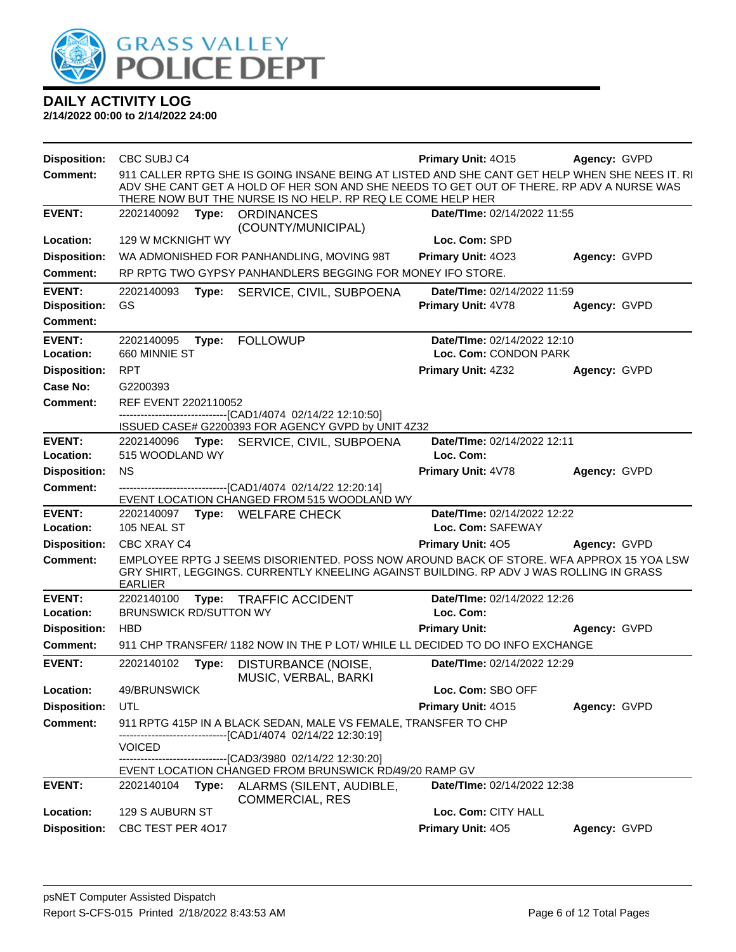

| <b>Disposition:</b>             | CBC SUBJ C4                                 |       |                                                                                                                                                                                                                                                           | Primary Unit: 4015                                   | Agency: GVPD |
|---------------------------------|---------------------------------------------|-------|-----------------------------------------------------------------------------------------------------------------------------------------------------------------------------------------------------------------------------------------------------------|------------------------------------------------------|--------------|
| <b>Comment:</b>                 |                                             |       | 911 CALLER RPTG SHE IS GOING INSANE BEING AT LISTED AND SHE CANT GET HELP WHEN SHE NEES IT. RI<br>ADV SHE CANT GET A HOLD OF HER SON AND SHE NEEDS TO GET OUT OF THERE. RP ADV A NURSE WAS<br>THERE NOW BUT THE NURSE IS NO HELP. RP REQ LE COME HELP HER |                                                      |              |
| <b>EVENT:</b>                   | 2202140092                                  | Type: | <b>ORDINANCES</b>                                                                                                                                                                                                                                         | Date/TIme: 02/14/2022 11:55                          |              |
| Location:                       | 129 W MCKNIGHT WY                           |       | (COUNTY/MUNICIPAL)                                                                                                                                                                                                                                        | Loc. Com: SPD                                        |              |
| <b>Disposition:</b>             |                                             |       | WA ADMONISHED FOR PANHANDLING, MOVING 98T                                                                                                                                                                                                                 | Primary Unit: 4023                                   | Agency: GVPD |
| <b>Comment:</b>                 |                                             |       | RP RPTG TWO GYPSY PANHANDLERS BEGGING FOR MONEY IFO STORE.                                                                                                                                                                                                |                                                      |              |
| <b>EVENT:</b>                   | 2202140093                                  | Type: | SERVICE, CIVIL, SUBPOENA                                                                                                                                                                                                                                  | <b>Date/Time: 02/14/2022 11:59</b>                   |              |
| <b>Disposition:</b>             | GS                                          |       |                                                                                                                                                                                                                                                           | Primary Unit: 4V78                                   | Agency: GVPD |
| <b>Comment:</b>                 |                                             |       |                                                                                                                                                                                                                                                           |                                                      |              |
| <b>EVENT:</b><br>Location:      | 2202140095<br>660 MINNIE ST                 | Type: | <b>FOLLOWUP</b>                                                                                                                                                                                                                                           | Date/TIme: 02/14/2022 12:10<br>Loc. Com: CONDON PARK |              |
| <b>Disposition:</b>             | <b>RPT</b>                                  |       |                                                                                                                                                                                                                                                           | Primary Unit: 4Z32                                   | Agency: GVPD |
| Case No:                        | G2200393                                    |       |                                                                                                                                                                                                                                                           |                                                      |              |
| <b>Comment:</b>                 | REF EVENT 2202110052                        |       |                                                                                                                                                                                                                                                           |                                                      |              |
|                                 |                                             |       | -------------------------[CAD1/4074_02/14/22 12:10:50]<br>ISSUED CASE# G2200393 FOR AGENCY GVPD by UNIT 4Z32                                                                                                                                              |                                                      |              |
| <b>EVENT:</b>                   |                                             |       | 2202140096 Type: SERVICE, CIVIL, SUBPOENA                                                                                                                                                                                                                 | Date/TIme: 02/14/2022 12:11                          |              |
| Location:                       | 515 WOODLAND WY                             |       |                                                                                                                                                                                                                                                           | Loc. Com:                                            |              |
| <b>Disposition:</b>             | <b>NS</b>                                   |       |                                                                                                                                                                                                                                                           | Primary Unit: 4V78                                   | Agency: GVPD |
| <b>Comment:</b>                 |                                             |       | -------------------[CAD1/4074 02/14/22 12:20:14]<br>EVENT LOCATION CHANGED FROM 515 WOODLAND WY                                                                                                                                                           |                                                      |              |
| <b>EVENT:</b>                   |                                             |       | 2202140097 Type: WELFARE CHECK                                                                                                                                                                                                                            | Date/TIme: 02/14/2022 12:22                          |              |
| Location:                       | 105 NEAL ST                                 |       |                                                                                                                                                                                                                                                           | Loc. Com: SAFEWAY                                    |              |
| <b>Disposition:</b>             | CBC XRAY C4                                 |       |                                                                                                                                                                                                                                                           | Primary Unit: 405                                    | Agency: GVPD |
| <b>Comment:</b>                 | <b>EARLIER</b>                              |       | EMPLOYEE RPTG J SEEMS DISORIENTED. POSS NOW AROUND BACK OF STORE. WFA APPROX 15 YOA LSW<br>GRY SHIRT, LEGGINGS. CURRENTLY KNEELING AGAINST BUILDING. RP ADV J WAS ROLLING IN GRASS                                                                        |                                                      |              |
| <b>EVENT:</b>                   | 2202140100                                  | Type: | <b>TRAFFIC ACCIDENT</b>                                                                                                                                                                                                                                   | Date/TIme: 02/14/2022 12:26                          |              |
| Location:                       | <b>BRUNSWICK RD/SUTTON WY</b><br><b>HBD</b> |       |                                                                                                                                                                                                                                                           | Loc. Com:                                            |              |
| <b>Disposition:</b><br>Comment: |                                             |       | 911 CHP TRANSFER/ 1182 NOW IN THE P LOT/ WHILE LL DECIDED TO DO INFO EXCHANGE                                                                                                                                                                             | <b>Primary Unit:</b>                                 | Agency: GVPD |
| <b>EVENT:</b>                   | 2202140102                                  | Type: | DISTURBANCE (NOISE,<br>MUSIC, VERBAL, BARKI                                                                                                                                                                                                               | Date/TIme: 02/14/2022 12:29                          |              |
| Location:                       | 49/BRUNSWICK                                |       |                                                                                                                                                                                                                                                           | Loc. Com: SBO OFF                                    |              |
| <b>Disposition:</b>             | UTL                                         |       |                                                                                                                                                                                                                                                           | Primary Unit: 4015                                   | Agency: GVPD |
| <b>Comment:</b>                 |                                             |       | 911 RPTG 415P IN A BLACK SEDAN, MALE VS FEMALE, TRANSFER TO CHP                                                                                                                                                                                           |                                                      |              |
|                                 | <b>VOICED</b>                               |       | ----------------------[CAD1/4074_02/14/22 12:30:19]                                                                                                                                                                                                       |                                                      |              |
|                                 |                                             |       | --------------------------------[CAD3/3980 02/14/22 12:30:20]                                                                                                                                                                                             |                                                      |              |
| <b>EVENT:</b>                   | 2202140104                                  | Type: | EVENT LOCATION CHANGED FROM BRUNSWICK RD/49/20 RAMP GV<br>ALARMS (SILENT, AUDIBLE,                                                                                                                                                                        | Date/TIme: 02/14/2022 12:38                          |              |
|                                 |                                             |       | COMMERCIAL, RES                                                                                                                                                                                                                                           |                                                      |              |
| Location:                       | 129 S AUBURN ST                             |       |                                                                                                                                                                                                                                                           | Loc. Com: CITY HALL                                  |              |
| <b>Disposition:</b>             | CBC TEST PER 4017                           |       |                                                                                                                                                                                                                                                           | Primary Unit: 405                                    | Agency: GVPD |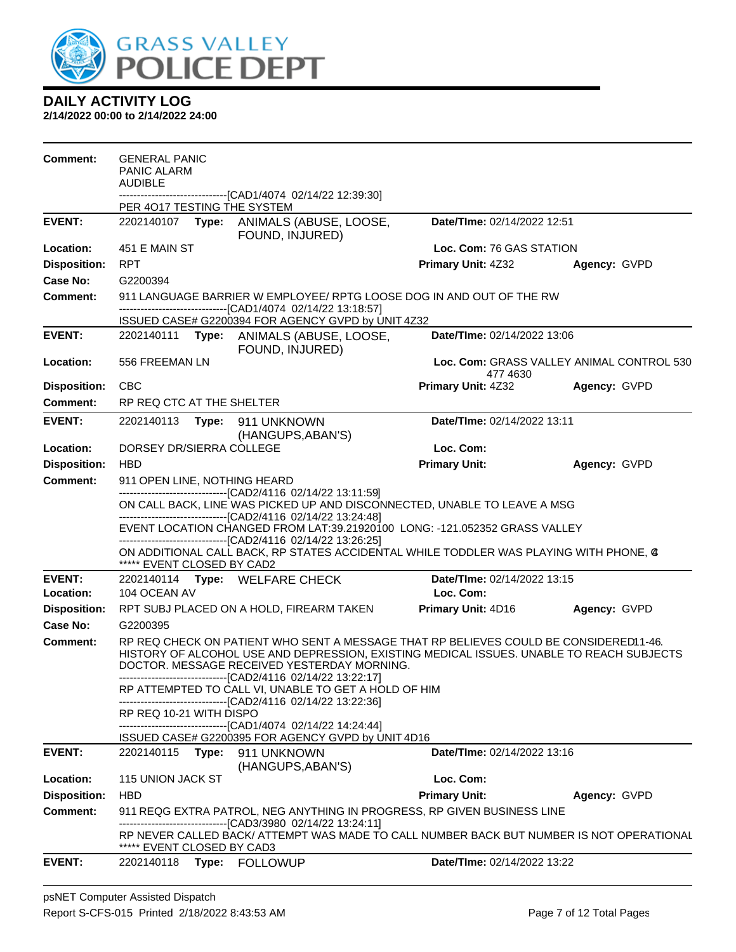

| <b>Comment:</b>     | <b>GENERAL PANIC</b><br>PANIC ALARM<br><b>AUDIBLE</b> |                                                                                                                                                                                                                                                                                                  |                             |                                           |
|---------------------|-------------------------------------------------------|--------------------------------------------------------------------------------------------------------------------------------------------------------------------------------------------------------------------------------------------------------------------------------------------------|-----------------------------|-------------------------------------------|
|                     | PER 4017 TESTING THE SYSTEM                           | -------------------------------[CAD1/4074 02/14/22 12:39:30]                                                                                                                                                                                                                                     |                             |                                           |
| <b>EVENT:</b>       | 2202140107                                            | Type: ANIMALS (ABUSE, LOOSE,<br>FOUND, INJURED)                                                                                                                                                                                                                                                  | Date/TIme: 02/14/2022 12:51 |                                           |
| Location:           | 451 E MAIN ST                                         |                                                                                                                                                                                                                                                                                                  | Loc. Com: 76 GAS STATION    |                                           |
| <b>Disposition:</b> | RPT                                                   |                                                                                                                                                                                                                                                                                                  | <b>Primary Unit: 4Z32</b>   | Agency: GVPD                              |
| <b>Case No:</b>     | G2200394                                              |                                                                                                                                                                                                                                                                                                  |                             |                                           |
| <b>Comment:</b>     |                                                       | 911 LANGUAGE BARRIER W EMPLOYEE/ RPTG LOOSE DOG IN AND OUT OF THE RW<br>-------------------------------[CAD1/4074 02/14/22 13:18:57]                                                                                                                                                             |                             |                                           |
| <b>EVENT:</b>       | 2202140111                                            | ISSUED CASE# G2200394 FOR AGENCY GVPD by UNIT 4Z32<br>Type: ANIMALS (ABUSE, LOOSE,                                                                                                                                                                                                               | Date/TIme: 02/14/2022 13:06 |                                           |
|                     |                                                       | FOUND, INJURED)                                                                                                                                                                                                                                                                                  |                             |                                           |
| Location:           | 556 FREEMAN LN                                        |                                                                                                                                                                                                                                                                                                  | 477 4630                    | Loc. Com: GRASS VALLEY ANIMAL CONTROL 530 |
| <b>Disposition:</b> | <b>CBC</b>                                            |                                                                                                                                                                                                                                                                                                  | Primary Unit: 4Z32          | Agency: GVPD                              |
| Comment:            | RP REQ CTC AT THE SHELTER                             |                                                                                                                                                                                                                                                                                                  |                             |                                           |
| <b>EVENT:</b>       | 2202140113                                            | Type: 911 UNKNOWN<br>(HANGUPS, ABAN'S)                                                                                                                                                                                                                                                           | Date/TIme: 02/14/2022 13:11 |                                           |
| Location:           | DORSEY DR/SIERRA COLLEGE                              |                                                                                                                                                                                                                                                                                                  | Loc. Com:                   |                                           |
| <b>Disposition:</b> | <b>HBD</b>                                            |                                                                                                                                                                                                                                                                                                  | <b>Primary Unit:</b>        | Agency: GVPD                              |
| <b>Comment:</b>     | 911 OPEN LINE, NOTHING HEARD                          |                                                                                                                                                                                                                                                                                                  |                             |                                           |
|                     |                                                       | -------------------------------[CAD2/4116 02/14/22 13:11:59]<br>ON CALL BACK, LINE WAS PICKED UP AND DISCONNECTED, UNABLE TO LEAVE A MSG                                                                                                                                                         |                             |                                           |
|                     |                                                       | ---------------------------------[CAD2/4116 02/14/22 13:24:48]                                                                                                                                                                                                                                   |                             |                                           |
|                     |                                                       | EVENT LOCATION CHANGED FROM LAT:39.21920100 LONG: -121.052352 GRASS VALLEY<br>--------------------------------[CAD2/4116 02/14/22 13:26:25]                                                                                                                                                      |                             |                                           |
|                     | ***** EVENT CLOSED BY CAD2                            | ON ADDITIONAL CALL BACK, RP STATES ACCIDENTAL WHILE TODDLER WAS PLAYING WITH PHONE, @                                                                                                                                                                                                            |                             |                                           |
| <b>EVENT:</b>       |                                                       | 2202140114 Type: WELFARE CHECK                                                                                                                                                                                                                                                                   | Date/TIme: 02/14/2022 13:15 |                                           |
| Location:           | 104 OCEAN AV                                          |                                                                                                                                                                                                                                                                                                  | Loc. Com:                   |                                           |
| <b>Disposition:</b> |                                                       | RPT SUBJ PLACED ON A HOLD, FIREARM TAKEN                                                                                                                                                                                                                                                         | Primary Unit: 4D16          | Agency: GVPD                              |
| Case No:            | G2200395                                              |                                                                                                                                                                                                                                                                                                  |                             |                                           |
| Comment:            |                                                       | RP REQ CHECK ON PATIENT WHO SENT A MESSAGE THAT RP BELIEVES COULD BE CONSIDERED 1-46.<br>HISTORY OF ALCOHOL USE AND DEPRESSION, EXISTING MEDICAL ISSUES. UNABLE TO REACH SUBJECTS<br>DOCTOR. MESSAGE RECEIVED YESTERDAY MORNING.<br>-------------------------------[CAD2/4116 02/14/22 13:22:17] |                             |                                           |
|                     |                                                       | RP ATTEMPTED TO CALL VI, UNABLE TO GET A HOLD OF HIM<br>------------------------[CAD2/4116_02/14/22_13:22:36]                                                                                                                                                                                    |                             |                                           |
|                     | RP REQ 10-21 WITH DISPO                               |                                                                                                                                                                                                                                                                                                  |                             |                                           |
|                     |                                                       | -------------------------------[CAD1/4074 02/14/22 14:24:44]<br>ISSUED CASE# G2200395 FOR AGENCY GVPD by UNIT 4D16                                                                                                                                                                               |                             |                                           |
| <b>EVENT:</b>       | 2202140115 Type: 911 UNKNOWN                          | (HANGUPS, ABAN'S)                                                                                                                                                                                                                                                                                | Date/TIme: 02/14/2022 13:16 |                                           |
| Location:           | 115 UNION JACK ST                                     |                                                                                                                                                                                                                                                                                                  | Loc. Com:                   |                                           |
| <b>Disposition:</b> | <b>HBD</b>                                            |                                                                                                                                                                                                                                                                                                  | <b>Primary Unit:</b>        | Agency: GVPD                              |
| Comment:            |                                                       | 911 REQG EXTRA PATROL, NEG ANYTHING IN PROGRESS, RP GIVEN BUSINESS LINE<br>------------------------[CAD3/3980_02/14/22 13:24:11]                                                                                                                                                                 |                             |                                           |
|                     | ***** EVENT CLOSED BY CAD3                            | RP NEVER CALLED BACK/ ATTEMPT WAS MADE TO CALL NUMBER BACK BUT NUMBER IS NOT OPERATIONAL                                                                                                                                                                                                         |                             |                                           |
| <b>EVENT:</b>       |                                                       |                                                                                                                                                                                                                                                                                                  | Date/TIme: 02/14/2022 13:22 |                                           |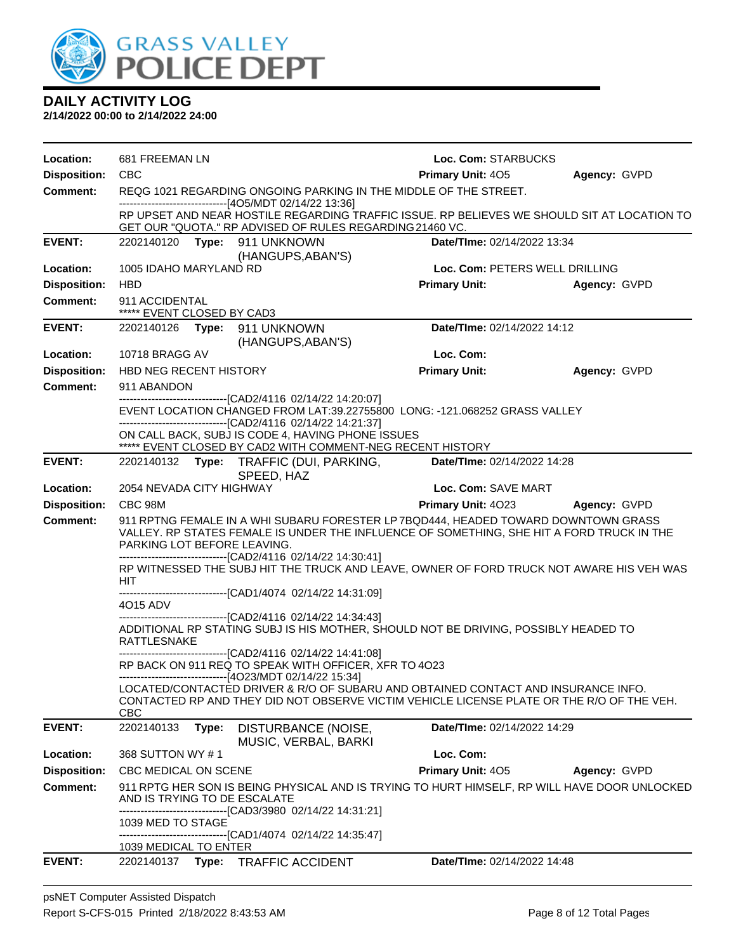

| Location:           | 681 FREEMAN LN                                                                                                                                                                                                 | Loc. Com: STARBUCKS             |              |
|---------------------|----------------------------------------------------------------------------------------------------------------------------------------------------------------------------------------------------------------|---------------------------------|--------------|
| <b>Disposition:</b> | CBC                                                                                                                                                                                                            | <b>Primary Unit: 405</b>        | Agency: GVPD |
| <b>Comment:</b>     | REQG 1021 REGARDING ONGOING PARKING IN THE MIDDLE OF THE STREET.<br>------------------------------[4O5/MDT 02/14/22 13:36]                                                                                     |                                 |              |
|                     | RP UPSET AND NEAR HOSTILE REGARDING TRAFFIC ISSUE. RP BELIEVES WE SHOULD SIT AT LOCATION TO<br>GET OUR "QUOTA." RP ADVISED OF RULES REGARDING 21460 VC.                                                        |                                 |              |
| <b>EVENT:</b>       | 2202140120 Type: 911 UNKNOWN<br>(HANGUPS, ABAN'S)                                                                                                                                                              | Date/TIme: 02/14/2022 13:34     |              |
| Location:           | 1005 IDAHO MARYLAND RD                                                                                                                                                                                         | Loc. Com: PETERS WELL DRILLING  |              |
| <b>Disposition:</b> | <b>HBD</b>                                                                                                                                                                                                     | <b>Primary Unit:</b>            | Agency: GVPD |
| <b>Comment:</b>     | 911 ACCIDENTAL<br>***** EVENT CLOSED BY CAD3                                                                                                                                                                   |                                 |              |
| <b>EVENT:</b>       | 2202140126    Type: 911    UNKNOWN<br>(HANGUPS, ABAN'S)                                                                                                                                                        | Date/TIme: 02/14/2022 14:12     |              |
| Location:           | 10718 BRAGG AV                                                                                                                                                                                                 | Loc. Com:                       |              |
| <b>Disposition:</b> | <b>HBD NEG RECENT HISTORY</b>                                                                                                                                                                                  | <b>Primary Unit:</b>            | Agency: GVPD |
| Comment:            | 911 ABANDON                                                                                                                                                                                                    |                                 |              |
|                     | -------------------------------[CAD2/4116 02/14/22 14:20:07]<br>EVENT LOCATION CHANGED FROM LAT:39.22755800 LONG: -121.068252 GRASS VALLEY                                                                     |                                 |              |
|                     | ----------------------------------[CAD2/4116 02/14/22 14:21:37]                                                                                                                                                |                                 |              |
|                     | ON CALL BACK, SUBJ IS CODE 4, HAVING PHONE ISSUES<br>***** EVENT CLOSED BY CAD2 WITH COMMENT-NEG RECENT HISTORY                                                                                                |                                 |              |
| <b>EVENT:</b>       | 2202140132 Type: TRAFFIC (DUI, PARKING,<br>SPEED, HAZ                                                                                                                                                          | Date/TIme: 02/14/2022 14:28     |              |
| Location:           | 2054 NEVADA CITY HIGHWAY                                                                                                                                                                                       | Loc. Com: SAVE MART             |              |
| <b>Disposition:</b> | CBC 98M                                                                                                                                                                                                        | Primary Unit: 4023 Agency: GVPD |              |
| Comment:            | 911 RPTNG FEMALE IN A WHI SUBARU FORESTER LP 7BQD444, HEADED TOWARD DOWNTOWN GRASS<br>VALLEY. RP STATES FEMALE IS UNDER THE INFLUENCE OF SOMETHING, SHE HIT A FORD TRUCK IN THE<br>PARKING LOT BEFORE LEAVING. |                                 |              |
|                     | -------------------------------[CAD2/4116 02/14/22 14:30:41]<br>RP WITNESSED THE SUBJ HIT THE TRUCK AND LEAVE, OWNER OF FORD TRUCK NOT AWARE HIS VEH WAS<br><b>HIT</b>                                         |                                 |              |
|                     | -------------------------------[CAD1/4074 02/14/22 14:31:09]<br>4015 ADV                                                                                                                                       |                                 |              |
|                     | ---------------------------------[CAD2/4116 02/14/22 14:34:43]<br>ADDITIONAL RP STATING SUBJ IS HIS MOTHER, SHOULD NOT BE DRIVING, POSSIBLY HEADED TO<br>RATTLESNAKE                                           |                                 |              |
|                     | -------------------------------[CAD2/4116 02/14/22 14:41:08]                                                                                                                                                   |                                 |              |
|                     | RP BACK ON 911 REQ TO SPEAK WITH OFFICER, XFR TO 4023<br>------------------------------[4O23/MDT 02/14/22 15:34]                                                                                               |                                 |              |
|                     | LOCATED/CONTACTED DRIVER & R/O OF SUBARU AND OBTAINED CONTACT AND INSURANCE INFO.<br>CONTACTED RP AND THEY DID NOT OBSERVE VICTIM VEHICLE LICENSE PLATE OR THE R/O OF THE VEH.<br>CBC                          |                                 |              |
| <b>EVENT:</b>       | 2202140133<br>Type:<br>DISTURBANCE (NOISE,<br>MUSIC, VERBAL, BARKI                                                                                                                                             | Date/TIme: 02/14/2022 14:29     |              |
| Location:           | 368 SUTTON WY #1                                                                                                                                                                                               | Loc. Com:                       |              |
| <b>Disposition:</b> | CBC MEDICAL ON SCENE                                                                                                                                                                                           | <b>Primary Unit: 405</b>        | Agency: GVPD |
| Comment:            | 911 RPTG HER SON IS BEING PHYSICAL AND IS TRYING TO HURT HIMSELF, RP WILL HAVE DOOR UNLOCKED<br>AND IS TRYING TO DE ESCALATE                                                                                   |                                 |              |
|                     | --------------------------[CAD3/3980_02/14/22 14:31:21]<br>1039 MED TO STAGE<br>-------------------------------[CAD1/4074 02/14/22 14:35:47]                                                                   |                                 |              |
|                     | 1039 MEDICAL TO ENTER                                                                                                                                                                                          |                                 |              |
| <b>EVENT:</b>       | Type:<br><b>TRAFFIC ACCIDENT</b><br>2202140137                                                                                                                                                                 | Date/TIme: 02/14/2022 14:48     |              |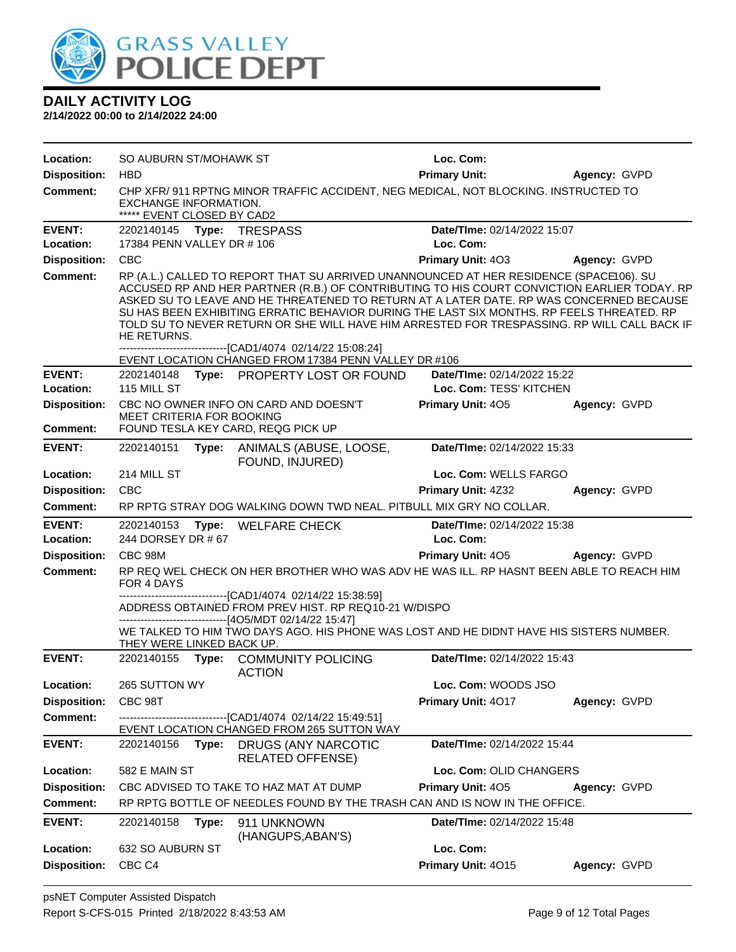

| Location:                              | SO AUBURN ST/MOHAWK ST                              |                                                                                                                                                                                                                                                                                                                                                                                                                                                                                                                                             | Loc. Com:                                              |              |
|----------------------------------------|-----------------------------------------------------|---------------------------------------------------------------------------------------------------------------------------------------------------------------------------------------------------------------------------------------------------------------------------------------------------------------------------------------------------------------------------------------------------------------------------------------------------------------------------------------------------------------------------------------------|--------------------------------------------------------|--------------|
| <b>Disposition:</b>                    | <b>HBD</b>                                          |                                                                                                                                                                                                                                                                                                                                                                                                                                                                                                                                             | <b>Primary Unit:</b>                                   | Agency: GVPD |
| Comment:                               | EXCHANGE INFORMATION.<br>***** EVENT CLOSED BY CAD2 | CHP XFR/ 911 RPTNG MINOR TRAFFIC ACCIDENT, NEG MEDICAL, NOT BLOCKING. INSTRUCTED TO                                                                                                                                                                                                                                                                                                                                                                                                                                                         |                                                        |              |
| <b>EVENT:</b>                          | 2202140145 Type: TRESPASS                           |                                                                                                                                                                                                                                                                                                                                                                                                                                                                                                                                             | Date/TIme: 02/14/2022 15:07                            |              |
| Location:                              | 17384 PENN VALLEY DR # 106                          |                                                                                                                                                                                                                                                                                                                                                                                                                                                                                                                                             | Loc. Com:                                              |              |
| <b>Disposition:</b>                    | <b>CBC</b>                                          |                                                                                                                                                                                                                                                                                                                                                                                                                                                                                                                                             | <b>Primary Unit: 403</b>                               | Agency: GVPD |
| Comment:                               | HE RETURNS.                                         | RP (A.L.) CALLED TO REPORT THAT SU ARRIVED UNANNOUNCED AT HER RESIDENCE (SPACE106). SU<br>ACCUSED RP AND HER PARTNER (R.B.) OF CONTRIBUTING TO HIS COURT CONVICTION EARLIER TODAY. RP<br>ASKED SU TO LEAVE AND HE THREATENED TO RETURN AT A LATER DATE. RP WAS CONCERNED BECAUSE<br>SU HAS BEEN EXHIBITING ERRATIC BEHAVIOR DURING THE LAST SIX MONTHS. RP FEELS THREATED. RP<br>TOLD SU TO NEVER RETURN OR SHE WILL HAVE HIM ARRESTED FOR TRESPASSING. RP WILL CALL BACK IF<br>------------------------------[CAD1/4074_02/14/22 15:08:24] |                                                        |              |
|                                        |                                                     | EVENT LOCATION CHANGED FROM 17384 PENN VALLEY DR #106                                                                                                                                                                                                                                                                                                                                                                                                                                                                                       |                                                        |              |
| <b>EVENT:</b><br>Location:             | 115 MILL ST                                         | 2202140148 Type: PROPERTY LOST OR FOUND                                                                                                                                                                                                                                                                                                                                                                                                                                                                                                     | Date/Time: 02/14/2022 15:22<br>Loc. Com: TESS' KITCHEN |              |
|                                        |                                                     | CBC NO OWNER INFO ON CARD AND DOESN'T                                                                                                                                                                                                                                                                                                                                                                                                                                                                                                       |                                                        |              |
| <b>Disposition:</b><br><b>Comment:</b> | MEET CRITERIA FOR BOOKING                           | FOUND TESLA KEY CARD, REQG PICK UP                                                                                                                                                                                                                                                                                                                                                                                                                                                                                                          | <b>Primary Unit: 405</b>                               | Agency: GVPD |
| <b>EVENT:</b>                          | 2202140151                                          | Type: ANIMALS (ABUSE, LOOSE,                                                                                                                                                                                                                                                                                                                                                                                                                                                                                                                | Date/TIme: 02/14/2022 15:33                            |              |
|                                        |                                                     | FOUND, INJURED)                                                                                                                                                                                                                                                                                                                                                                                                                                                                                                                             |                                                        |              |
| Location:                              | 214 MILL ST                                         |                                                                                                                                                                                                                                                                                                                                                                                                                                                                                                                                             | Loc. Com: WELLS FARGO                                  |              |
| <b>Disposition:</b>                    | <b>CBC</b>                                          |                                                                                                                                                                                                                                                                                                                                                                                                                                                                                                                                             | <b>Primary Unit: 4Z32</b>                              | Agency: GVPD |
| <b>Comment:</b>                        |                                                     | RP RPTG STRAY DOG WALKING DOWN TWD NEAL, PITBULL MIX GRY NO COLLAR.                                                                                                                                                                                                                                                                                                                                                                                                                                                                         |                                                        |              |
|                                        |                                                     |                                                                                                                                                                                                                                                                                                                                                                                                                                                                                                                                             |                                                        |              |
| <b>EVENT:</b>                          | 2202140153                                          | Type: WELFARE CHECK                                                                                                                                                                                                                                                                                                                                                                                                                                                                                                                         | Date/TIme: 02/14/2022 15:38                            |              |
| Location:                              | 244 DORSEY DR # 67                                  |                                                                                                                                                                                                                                                                                                                                                                                                                                                                                                                                             | Loc. Com:                                              |              |
| <b>Disposition:</b>                    | CBC 98M                                             |                                                                                                                                                                                                                                                                                                                                                                                                                                                                                                                                             | <b>Primary Unit: 405</b>                               | Agency: GVPD |
| Comment:                               | FOR 4 DAYS                                          | RP REQ WEL CHECK ON HER BROTHER WHO WAS ADV HE WAS ILL. RP HASNT BEEN ABLE TO REACH HIM                                                                                                                                                                                                                                                                                                                                                                                                                                                     |                                                        |              |
|                                        |                                                     | ------------------------[CAD1/4074 02/14/22 15:38:59]                                                                                                                                                                                                                                                                                                                                                                                                                                                                                       |                                                        |              |
|                                        |                                                     | ADDRESS OBTAINED FROM PREV HIST. RP REQ10-21 W/DISPO<br>-------------------------------[4O5/MDT 02/14/22 15:47]                                                                                                                                                                                                                                                                                                                                                                                                                             |                                                        |              |
|                                        | THEY WERE LINKED BACK UP.                           | WE TALKED TO HIM TWO DAYS AGO. HIS PHONE WAS LOST AND HE DIDNT HAVE HIS SISTERS NUMBER.                                                                                                                                                                                                                                                                                                                                                                                                                                                     |                                                        |              |
| <b>EVENT:</b>                          |                                                     | 2202140155 Type: COMMUNITY POLICING<br><b>ACTION</b>                                                                                                                                                                                                                                                                                                                                                                                                                                                                                        | Date/TIme: 02/14/2022 15:43                            |              |
| Location:                              | 265 SUTTON WY                                       |                                                                                                                                                                                                                                                                                                                                                                                                                                                                                                                                             | Loc. Com: WOODS JSO                                    |              |
| <b>Disposition:</b>                    | CBC 98T                                             |                                                                                                                                                                                                                                                                                                                                                                                                                                                                                                                                             | Primary Unit: 4017                                     | Agency: GVPD |
| <b>Comment:</b>                        |                                                     | ----------------[CAD1/4074_02/14/22 15:49:51]<br>EVENT LOCATION CHANGED FROM 265 SUTTON WAY                                                                                                                                                                                                                                                                                                                                                                                                                                                 |                                                        |              |
| <b>EVENT:</b>                          | 2202140156<br>Type:                                 | <b>DRUGS (ANY NARCOTIC</b><br><b>RELATED OFFENSE)</b>                                                                                                                                                                                                                                                                                                                                                                                                                                                                                       | Date/TIme: 02/14/2022 15:44                            |              |
| Location:                              | 582 E MAIN ST                                       |                                                                                                                                                                                                                                                                                                                                                                                                                                                                                                                                             | Loc. Com: OLID CHANGERS                                |              |
| <b>Disposition:</b>                    |                                                     | CBC ADVISED TO TAKE TO HAZ MAT AT DUMP                                                                                                                                                                                                                                                                                                                                                                                                                                                                                                      | Primary Unit: 405                                      | Agency: GVPD |
| <b>Comment:</b>                        |                                                     | RP RPTG BOTTLE OF NEEDLES FOUND BY THE TRASH CAN AND IS NOW IN THE OFFICE.                                                                                                                                                                                                                                                                                                                                                                                                                                                                  |                                                        |              |
| <b>EVENT:</b>                          | 2202140158<br>Type:                                 | 911 UNKNOWN<br>(HANGUPS, ABAN'S)                                                                                                                                                                                                                                                                                                                                                                                                                                                                                                            | Date/TIme: 02/14/2022 15:48                            |              |
| Location:                              | 632 SO AUBURN ST                                    |                                                                                                                                                                                                                                                                                                                                                                                                                                                                                                                                             | Loc. Com:                                              |              |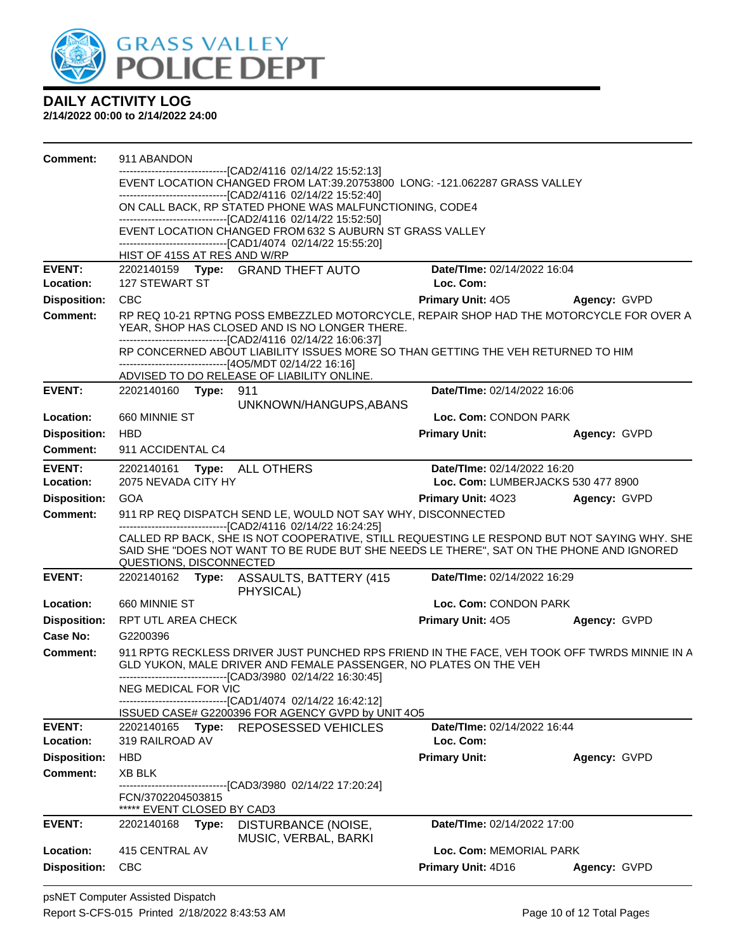

| <b>Comment:</b>     | 911 ABANDON                                                                                                                                |       |                                                                                                                                                                                                                                   |                                          |              |  |  |
|---------------------|--------------------------------------------------------------------------------------------------------------------------------------------|-------|-----------------------------------------------------------------------------------------------------------------------------------------------------------------------------------------------------------------------------------|------------------------------------------|--------------|--|--|
|                     |                                                                                                                                            |       | ----------------------[CAD2/4116_02/14/22_15:52:13]                                                                                                                                                                               |                                          |              |  |  |
|                     | EVENT LOCATION CHANGED FROM LAT:39.20753800 LONG: -121.062287 GRASS VALLEY<br>-------------------------------[CAD2/4116 02/14/22 15:52:40] |       |                                                                                                                                                                                                                                   |                                          |              |  |  |
|                     | ON CALL BACK, RP STATED PHONE WAS MALFUNCTIONING, CODE4<br>----------------------------------[CAD2/4116 02/14/22 15:52:50]                 |       |                                                                                                                                                                                                                                   |                                          |              |  |  |
|                     | EVENT LOCATION CHANGED FROM 632 S AUBURN ST GRASS VALLEY                                                                                   |       |                                                                                                                                                                                                                                   |                                          |              |  |  |
|                     |                                                                                                                                            |       | -------------------------------[CAD1/4074 02/14/22 15:55:20]                                                                                                                                                                      |                                          |              |  |  |
|                     | HIST OF 415S AT RES AND W/RP                                                                                                               |       |                                                                                                                                                                                                                                   |                                          |              |  |  |
| <b>EVENT:</b>       | <b>127 STEWART ST</b>                                                                                                                      |       | 2202140159 Type: GRAND THEFT AUTO                                                                                                                                                                                                 | Date/TIme: 02/14/2022 16:04<br>Loc. Com: |              |  |  |
| Location:           | <b>CBC</b>                                                                                                                                 |       |                                                                                                                                                                                                                                   | <b>Primary Unit: 405</b>                 |              |  |  |
| <b>Disposition:</b> |                                                                                                                                            |       |                                                                                                                                                                                                                                   |                                          | Agency: GVPD |  |  |
| <b>Comment:</b>     |                                                                                                                                            |       | RP REQ 10-21 RPTNG POSS EMBEZZLED MOTORCYCLE, REPAIR SHOP HAD THE MOTORCYCLE FOR OVER A<br>YEAR, SHOP HAS CLOSED AND IS NO LONGER THERE.<br>--------------------------------[CAD2/4116 02/14/22 16:06:37]                         |                                          |              |  |  |
|                     |                                                                                                                                            |       | RP CONCERNED ABOUT LIABILITY ISSUES MORE SO THAN GETTING THE VEH RETURNED TO HIM                                                                                                                                                  |                                          |              |  |  |
|                     |                                                                                                                                            |       | ------------------------------[4O5/MDT 02/14/22 16:16]<br>ADVISED TO DO RELEASE OF LIABILITY ONLINE.                                                                                                                              |                                          |              |  |  |
| <b>EVENT:</b>       | 2202140160 Type:                                                                                                                           |       | 911                                                                                                                                                                                                                               | Date/TIme: 02/14/2022 16:06              |              |  |  |
|                     |                                                                                                                                            |       | UNKNOWN/HANGUPS, ABANS                                                                                                                                                                                                            |                                          |              |  |  |
| Location:           | 660 MINNIE ST                                                                                                                              |       |                                                                                                                                                                                                                                   | Loc. Com: CONDON PARK                    |              |  |  |
| <b>Disposition:</b> | <b>HBD</b>                                                                                                                                 |       |                                                                                                                                                                                                                                   | <b>Primary Unit:</b>                     | Agency: GVPD |  |  |
| Comment:            | 911 ACCIDENTAL C4                                                                                                                          |       |                                                                                                                                                                                                                                   |                                          |              |  |  |
| <b>EVENT:</b>       |                                                                                                                                            |       | 2202140161 Type: ALL OTHERS                                                                                                                                                                                                       | Date/TIme: 02/14/2022 16:20              |              |  |  |
| Location:           | 2075 NEVADA CITY HY                                                                                                                        |       |                                                                                                                                                                                                                                   | Loc. Com: LUMBERJACKS 530 477 8900       |              |  |  |
| <b>Disposition:</b> | <b>GOA</b>                                                                                                                                 |       |                                                                                                                                                                                                                                   | <b>Primary Unit: 4023</b>                | Agency: GVPD |  |  |
| <b>Comment:</b>     |                                                                                                                                            |       | 911 RP REQ DISPATCH SEND LE, WOULD NOT SAY WHY, DISCONNECTED<br>-------------------------------[CAD2/4116 02/14/22 16:24:25]                                                                                                      |                                          |              |  |  |
|                     | QUESTIONS, DISCONNECTED                                                                                                                    |       | CALLED RP BACK, SHE IS NOT COOPERATIVE, STILL REQUESTING LE RESPOND BUT NOT SAYING WHY. SHE<br>SAID SHE "DOES NOT WANT TO BE RUDE BUT SHE NEEDS LE THERE", SAT ON THE PHONE AND IGNORED                                           |                                          |              |  |  |
| <b>EVENT:</b>       |                                                                                                                                            |       | 2202140162 Type: ASSAULTS, BATTERY (415<br>PHYSICAL)                                                                                                                                                                              | Date/TIme: 02/14/2022 16:29              |              |  |  |
| Location:           | 660 MINNIE ST                                                                                                                              |       |                                                                                                                                                                                                                                   | Loc. Com: CONDON PARK                    |              |  |  |
| <b>Disposition:</b> | RPT UTL AREA CHECK                                                                                                                         |       |                                                                                                                                                                                                                                   | <b>Primary Unit: 405</b>                 | Agency: GVPD |  |  |
| Case No:            | G2200396                                                                                                                                   |       |                                                                                                                                                                                                                                   |                                          |              |  |  |
| <b>Comment:</b>     |                                                                                                                                            |       | 911 RPTG RECKLESS DRIVER JUST PUNCHED RPS FRIEND IN THE FACE, VEH TOOK OFF TWRDS MINNIE IN A<br>GLD YUKON, MALE DRIVER AND FEMALE PASSENGER, NO PLATES ON THE VEH<br>-------------------------------[CAD3/3980 02/14/22 16:30:45] |                                          |              |  |  |
|                     | NEG MEDICAL FOR VIC                                                                                                                        |       |                                                                                                                                                                                                                                   |                                          |              |  |  |
|                     |                                                                                                                                            |       | -------------------------------[CAD1/4074 02/14/22 16:42:12]<br>ISSUED CASE# G2200396 FOR AGENCY GVPD by UNIT 4O5                                                                                                                 |                                          |              |  |  |
| <b>EVENT:</b>       |                                                                                                                                            |       | 2202140165 Type: REPOSESSED VEHICLES                                                                                                                                                                                              | Date/TIme: 02/14/2022 16:44              |              |  |  |
| Location:           | 319 RAILROAD AV                                                                                                                            |       |                                                                                                                                                                                                                                   | Loc. Com:                                |              |  |  |
| <b>Disposition:</b> | <b>HBD</b>                                                                                                                                 |       |                                                                                                                                                                                                                                   | <b>Primary Unit:</b>                     | Agency: GVPD |  |  |
| <b>Comment:</b>     | <b>XB BLK</b>                                                                                                                              |       |                                                                                                                                                                                                                                   |                                          |              |  |  |
|                     | FCN/3702204503815<br>***** EVENT CLOSED BY CAD3                                                                                            |       | --------------------------[CAD3/3980_02/14/22 17:20:24]                                                                                                                                                                           |                                          |              |  |  |
| <b>EVENT:</b>       | 2202140168                                                                                                                                 | Type: | DISTURBANCE (NOISE,<br>MUSIC, VERBAL, BARKI                                                                                                                                                                                       | Date/TIme: 02/14/2022 17:00              |              |  |  |
| Location:           | 415 CENTRAL AV                                                                                                                             |       |                                                                                                                                                                                                                                   | Loc. Com: MEMORIAL PARK                  |              |  |  |
| <b>Disposition:</b> | <b>CBC</b>                                                                                                                                 |       |                                                                                                                                                                                                                                   | Primary Unit: 4D16                       | Agency: GVPD |  |  |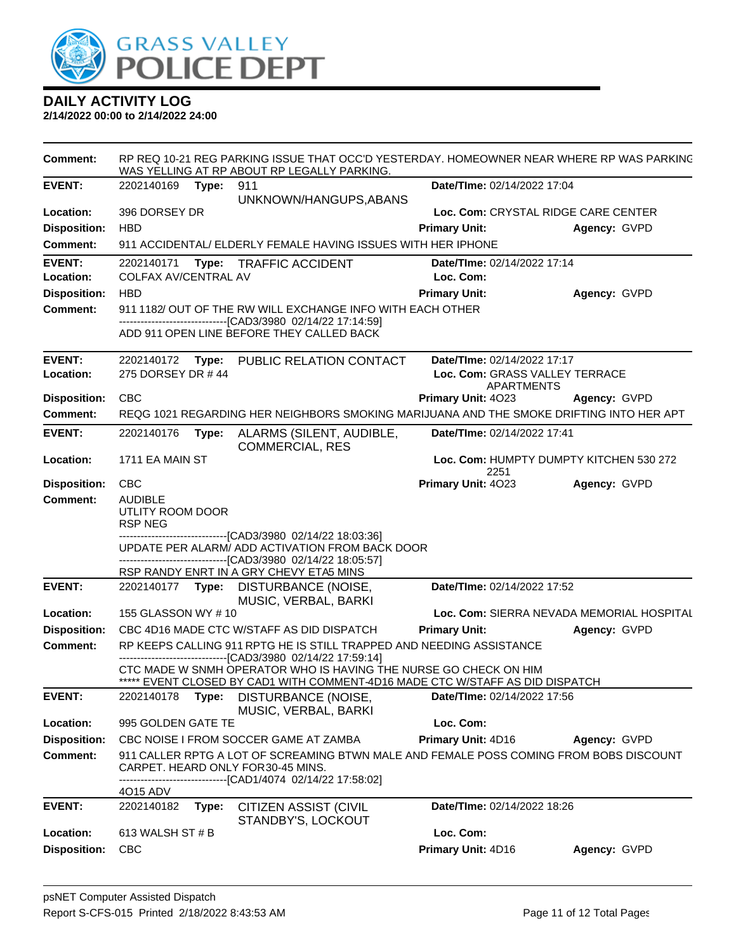

| <b>Comment:</b>     |                                                      |       | RP REQ 10-21 REG PARKING ISSUE THAT OCC'D YESTERDAY. HOMEOWNER NEAR WHERE RP WAS PARKING<br>WAS YELLING AT RP ABOUT RP LEGALLY PARKING.           |                                                     |                                           |
|---------------------|------------------------------------------------------|-------|---------------------------------------------------------------------------------------------------------------------------------------------------|-----------------------------------------------------|-------------------------------------------|
| <b>EVENT:</b>       | 2202140169 Type:                                     |       | 911                                                                                                                                               | Date/TIme: 02/14/2022 17:04                         |                                           |
|                     |                                                      |       | UNKNOWN/HANGUPS, ABANS                                                                                                                            |                                                     |                                           |
| Location:           | 396 DORSEY DR                                        |       |                                                                                                                                                   | Loc. Com: CRYSTAL RIDGE CARE CENTER                 |                                           |
| <b>Disposition:</b> | <b>HBD</b>                                           |       |                                                                                                                                                   | <b>Primary Unit:</b>                                | Agency: GVPD                              |
| <b>Comment:</b>     |                                                      |       | 911 ACCIDENTAL/ ELDERLY FEMALE HAVING ISSUES WITH HER IPHONE                                                                                      |                                                     |                                           |
| <b>EVENT:</b>       |                                                      |       | 2202140171 Type: TRAFFIC ACCIDENT                                                                                                                 | Date/TIme: 02/14/2022 17:14                         |                                           |
| Location:           | COLFAX AV/CENTRAL AV                                 |       |                                                                                                                                                   | Loc. Com:                                           |                                           |
| <b>Disposition:</b> | <b>HBD</b>                                           |       |                                                                                                                                                   | <b>Primary Unit:</b>                                | Agency: GVPD                              |
| <b>Comment:</b>     |                                                      |       | 911 1182/ OUT OF THE RW WILL EXCHANGE INFO WITH EACH OTHER<br>-------------------------------[CAD3/3980 02/14/22 17:14:59]                        |                                                     |                                           |
|                     |                                                      |       | ADD 911 OPEN LINE BEFORE THEY CALLED BACK                                                                                                         |                                                     |                                           |
|                     |                                                      |       |                                                                                                                                                   |                                                     |                                           |
| <b>EVENT:</b>       | 275 DORSEY DR #44                                    |       | 2202140172 Type: PUBLIC RELATION CONTACT                                                                                                          | Date/TIme: 02/14/2022 17:17                         |                                           |
| Location:           |                                                      |       |                                                                                                                                                   | Loc. Com: GRASS VALLEY TERRACE<br><b>APARTMENTS</b> |                                           |
| <b>Disposition:</b> | <b>CBC</b>                                           |       |                                                                                                                                                   | Primary Unit: 4023                                  | Agency: GVPD                              |
| <b>Comment:</b>     |                                                      |       | REQG 1021 REGARDING HER NEIGHBORS SMOKING MARIJUANA AND THE SMOKE DRIFTING INTO HER APT                                                           |                                                     |                                           |
| <b>EVENT:</b>       | 2202140176                                           | Type: | ALARMS (SILENT, AUDIBLE,<br><b>COMMERCIAL, RES</b>                                                                                                | Date/TIme: 02/14/2022 17:41                         |                                           |
| Location:           | 1711 EA MAIN ST                                      |       |                                                                                                                                                   | Loc. Com: HUMPTY DUMPTY KITCHEN 530 272<br>2251     |                                           |
| <b>Disposition:</b> | <b>CBC</b>                                           |       |                                                                                                                                                   | Primary Unit: 4023                                  | Agency: GVPD                              |
| <b>Comment:</b>     | <b>AUDIBLE</b><br>UTLITY ROOM DOOR<br><b>RSP NEG</b> |       |                                                                                                                                                   |                                                     |                                           |
|                     |                                                      |       | -------------------------------[CAD3/3980_02/14/22 18:03:36]<br>UPDATE PER ALARM/ ADD ACTIVATION FROM BACK DOOR                                   |                                                     |                                           |
|                     |                                                      |       | ------------------------------[CAD3/3980 02/14/22 18:05:57]                                                                                       |                                                     |                                           |
| <b>EVENT:</b>       |                                                      |       | RSP RANDY ENRT IN A GRY CHEVY ETA5 MINS<br>2202140177 Type: DISTURBANCE (NOISE,                                                                   | Date/TIme: 02/14/2022 17:52                         |                                           |
|                     |                                                      |       | MUSIC, VERBAL, BARKI                                                                                                                              |                                                     |                                           |
| Location:           | 155 GLASSON WY #10                                   |       |                                                                                                                                                   |                                                     | Loc. Com: SIERRA NEVADA MEMORIAL HOSPITAL |
| <b>Disposition:</b> |                                                      |       | CBC 4D16 MADE CTC W/STAFF AS DID DISPATCH                                                                                                         | <b>Primary Unit:</b>                                | Agency: GVPD                              |
| Comment:            |                                                      |       | RP KEEPS CALLING 911 RPTG HE IS STILL TRAPPED AND NEEDING ASSISTANCE                                                                              |                                                     |                                           |
|                     |                                                      |       | -------------------[CAD3/3980_02/14/22_17:59:14]                                                                                                  |                                                     |                                           |
|                     |                                                      |       | CTC MADE W SNMH OPERATOR WHO IS HAVING THE NURSE GO CHECK ON HIM<br>***** EVENT CLOSED BY CAD1 WITH COMMENT-4D16 MADE CTC W/STAFF AS DID DISPATCH |                                                     |                                           |
| <b>EVENT:</b>       | 2202140178                                           | Type: | DISTURBANCE (NOISE,                                                                                                                               | Date/TIme: 02/14/2022 17:56                         |                                           |
|                     |                                                      |       | MUSIC, VERBAL, BARKI                                                                                                                              |                                                     |                                           |
| Location:           | 995 GOLDEN GATE TE                                   |       |                                                                                                                                                   | Loc. Com:                                           |                                           |
| <b>Disposition:</b> |                                                      |       | CBC NOISE I FROM SOCCER GAME AT ZAMBA                                                                                                             | Primary Unit: 4D16                                  | Agency: GVPD                              |
| <b>Comment:</b>     |                                                      |       | 911 CALLER RPTG A LOT OF SCREAMING BTWN MALE AND FEMALE POSS COMING FROM BOBS DISCOUNT<br>CARPET. HEARD ONLY FOR30-45 MINS.                       |                                                     |                                           |
|                     | 4015 ADV                                             |       | ------------------[CAD1/4074_02/14/22 17:58:02]                                                                                                   |                                                     |                                           |
| <b>EVENT:</b>       | 2202140182                                           | Type: | <b>CITIZEN ASSIST (CIVIL</b>                                                                                                                      | Date/TIme: 02/14/2022 18:26                         |                                           |
| Location:           | 613 WALSH ST # B                                     |       | STANDBY'S, LOCKOUT                                                                                                                                | Loc. Com:                                           |                                           |
| <b>Disposition:</b> | <b>CBC</b>                                           |       |                                                                                                                                                   | Primary Unit: 4D16                                  | Agency: GVPD                              |
|                     |                                                      |       |                                                                                                                                                   |                                                     |                                           |